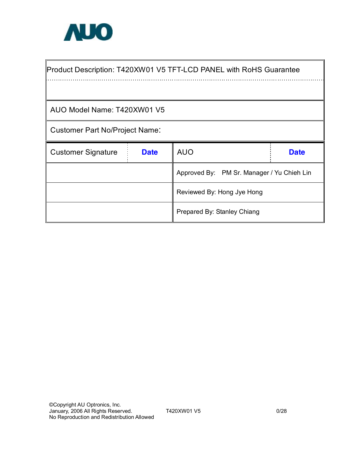

| Product Description: T420XW01 V5 TFT-LCD PANEL with RoHS Guarantee |             |                                            |             |  |  |
|--------------------------------------------------------------------|-------------|--------------------------------------------|-------------|--|--|
|                                                                    |             |                                            |             |  |  |
| AUO Model Name: T420XW01 V5                                        |             |                                            |             |  |  |
| <b>Customer Part No/Project Name:</b>                              |             |                                            |             |  |  |
|                                                                    |             |                                            |             |  |  |
| <b>Customer Signature</b>                                          | <b>Date</b> | <b>AUO</b>                                 | <b>Date</b> |  |  |
|                                                                    |             | Approved By: PM Sr. Manager / Yu Chieh Lin |             |  |  |
|                                                                    |             | Reviewed By: Hong Jye Hong                 |             |  |  |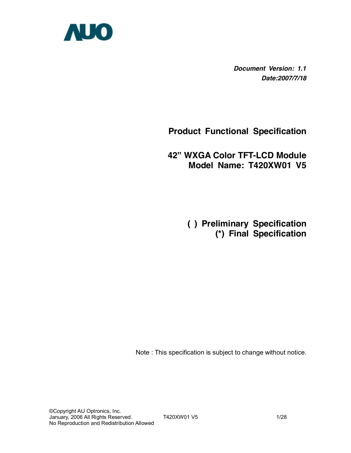

*Document Version: 1.1 Date:2007/7/18*

**Product Functional Specification** 

**42" WXGA Color TFT-LCD Module Model Name: T420XW01 V5** 

> **( ) Preliminary Specification (\*) Final Specification**

Note : This specification is subject to change without notice.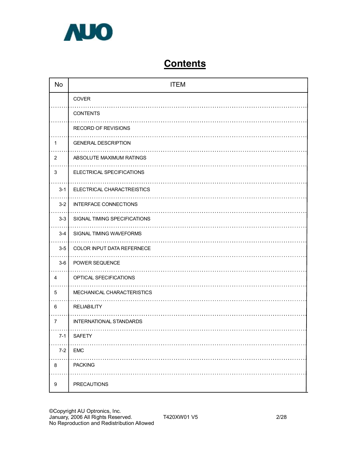

# **Contents**

| <b>No</b>      | <b>ITEM</b>                    |
|----------------|--------------------------------|
|                | COVER                          |
|                | <b>CONTENTS</b>                |
|                | <b>RECORD OF REVISIONS</b>     |
| 1              | <b>GENERAL DESCRIPTION</b>     |
| $\overline{2}$ | ABSOLUTE MAXIMUM RATINGS       |
| 3              | ELECTRICAL SPECIFICATIONS      |
| $3 - 1$        | ELECTRICAL CHARACTREISTICS     |
| $3 - 2$        | <b>INTERFACE CONNECTIONS</b>   |
| $3 - 3$        | SIGNAL TIMING SPECIFICATIONS   |
| $3 - 4$        | SIGNAL TIMING WAVEFORMS        |
| $3-5$          | COLOR INPUT DATA REFERNECE     |
| $3-6$          | POWER SEQUENCE                 |
| 4              | OPTICAL SFECIFICATIONS         |
| 5              | MECHANICAL CHARACTERISTICS     |
| 6              | <b>RELIABILITY</b>             |
| $\overline{7}$ | <b>INTERNATIONAL STANDARDS</b> |
| $7 - 1$        | <b>SAFETY</b>                  |
| $7 - 2$        | <b>EMC</b>                     |
| 8              | <b>PACKING</b>                 |
| 9              | <b>PRECAUTIONS</b>             |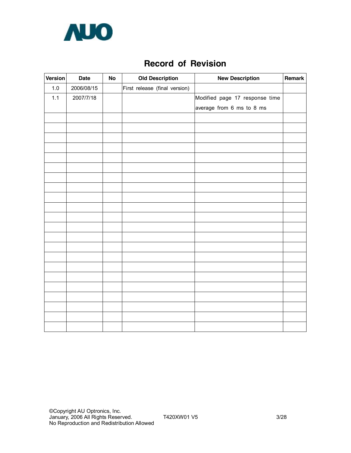

# **Record of Revision**

| Version | <b>Date</b> | <b>No</b> | <b>Old Description</b>        | <b>New Description</b>         | Remark |
|---------|-------------|-----------|-------------------------------|--------------------------------|--------|
| $1.0$   | 2006/08/15  |           | First release (final version) |                                |        |
| 1.1     | 2007/7/18   |           |                               | Modified page 17 response time |        |
|         |             |           |                               | average from 6 ms to 8 ms      |        |
|         |             |           |                               |                                |        |
|         |             |           |                               |                                |        |
|         |             |           |                               |                                |        |
|         |             |           |                               |                                |        |
|         |             |           |                               |                                |        |
|         |             |           |                               |                                |        |
|         |             |           |                               |                                |        |
|         |             |           |                               |                                |        |
|         |             |           |                               |                                |        |
|         |             |           |                               |                                |        |
|         |             |           |                               |                                |        |
|         |             |           |                               |                                |        |
|         |             |           |                               |                                |        |
|         |             |           |                               |                                |        |
|         |             |           |                               |                                |        |
|         |             |           |                               |                                |        |
|         |             |           |                               |                                |        |
|         |             |           |                               |                                |        |
|         |             |           |                               |                                |        |
|         |             |           |                               |                                |        |
|         |             |           |                               |                                |        |
|         |             |           |                               |                                |        |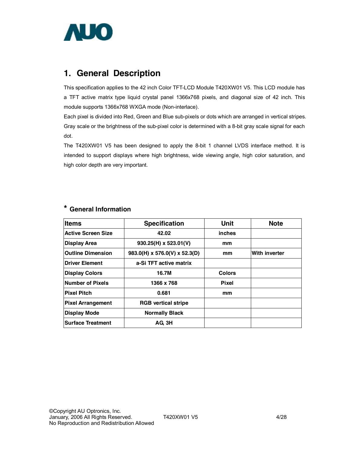

# **1. General Description**

This specification applies to the 42 inch Color TFT-LCD Module T420XW01 V5. This LCD module has a TFT active matrix type liquid crystal panel 1366x768 pixels, and diagonal size of 42 inch. This module supports 1366x768 WXGA mode (Non-interlace).

Each pixel is divided into Red, Green and Blue sub-pixels or dots which are arranged in vertical stripes. Gray scale or the brightness of the sub-pixel color is determined with a 8-bit gray scale signal for each dot.

The T420XW01 V5 has been designed to apply the 8-bit 1 channel LVDS interface method. It is intended to support displays where high brightness, wide viewing angle, high color saturation, and high color depth are very important.

| lltems                    | <b>Specification</b>          | <b>Unit</b>   | <b>Note</b>          |
|---------------------------|-------------------------------|---------------|----------------------|
| <b>Active Screen Size</b> | 42.02                         | inches        |                      |
| <b>Display Area</b>       | $930.25(H) \times 523.01(V)$  | mm            |                      |
| <b>Outline Dimension</b>  | 983.0(H) x 576.0(V) x 52.3(D) | mm            | <b>With inverter</b> |
| <b>Driver Element</b>     | a-Si TFT active matrix        |               |                      |
| <b>Display Colors</b>     | 16.7M                         | <b>Colors</b> |                      |
| Number of Pixels          | 1366 x 768                    | Pixel         |                      |
| <b>Pixel Pitch</b>        | 0.681                         | mm            |                      |
| <b>Pixel Arrangement</b>  | <b>RGB</b> vertical stripe    |               |                      |
| <b>Display Mode</b>       | <b>Normally Black</b>         |               |                      |
| <b>Surface Treatment</b>  | AG. 3H                        |               |                      |

# **\* General Information**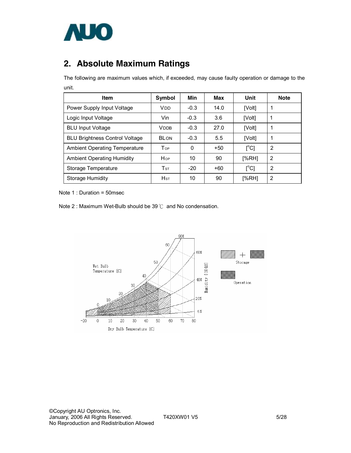

# **2. Absolute Maximum Ratings**

The following are maximum values which, if exceeded, may cause faulty operation or damage to the unit.

| Item                                  | <b>Symbol</b>          | Min    | Max   | Unit                         | <b>Note</b> |
|---------------------------------------|------------------------|--------|-------|------------------------------|-------------|
| Power Supply Input Voltage            | <b>V</b> <sub>DD</sub> | $-0.3$ | 14.0  | [Volt]                       | 1           |
| Logic Input Voltage                   | Vin                    | $-0.3$ | 3.6   | [Volt]                       | 1           |
| <b>BLU Input Voltage</b>              | <b>VDDB</b>            | $-0.3$ | 27.0  | [Volt]                       | 1           |
| <b>BLU Brightness Control Voltage</b> | <b>BLON</b>            | $-0.3$ | 5.5   | [Volt]                       | 1           |
| <b>Ambient Operating Temperature</b>  | Top                    | 0      | +50   | $\mathsf{I}^{\circ}$ Cl      | 2           |
| <b>Ambient Operating Humidity</b>     | Hop                    | 10     | 90    | [%RH]                        | 2           |
| Storage Temperature                   | T <sub>ST</sub>        | $-20$  | $+60$ | $\mathsf{I}^\circ\mathsf{C}$ | 2           |
| Storage Humidity                      | H <sub>ST</sub>        | 10     | 90    | [%RH]                        | 2           |

Note 1 : Duration = 50msec

Note 2 : Maximum Wet-Bulb should be 39℃ and No condensation.

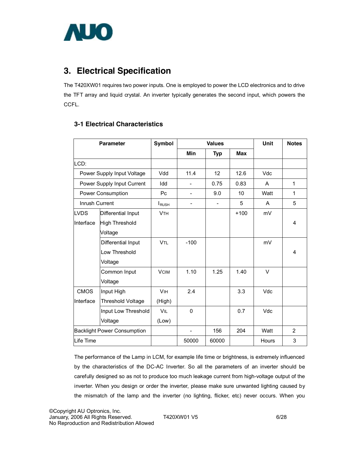

# **3. Electrical Specification**

The T420XW01 requires two power inputs. One is employed to power the LCD electronics and to drive the TFT array and liquid crystal. An inverter typically generates the second input, which powers the CCFL.

# **3-1 Electrical Characteristics**

| <b>Parameter</b> |                                    | Symbol      |                          | <b>Values</b> |            |              | <b>Notes</b>   |
|------------------|------------------------------------|-------------|--------------------------|---------------|------------|--------------|----------------|
|                  |                                    |             | Min                      | <b>Typ</b>    | <b>Max</b> |              |                |
| LCD:             |                                    |             |                          |               |            |              |                |
|                  | Power Supply Input Voltage         | Vdd         | 11.4                     | 12            | 12.6       | Vdc          |                |
|                  | Power Supply Input Current         | Idd         | $\overline{\phantom{a}}$ | 0.75          | 0.83       | A            | 1              |
|                  | <b>Power Consumption</b>           | Pc.         | $\overline{\phantom{0}}$ | 9.0           | 10         | Watt         | 1              |
| Inrush Current   |                                    | $I_{RUSH}$  |                          |               | 5          | A            | 5              |
| <b>LVDS</b>      | Differential Input                 | <b>VTH</b>  |                          |               | $+100$     | mV           |                |
| Interface        | <b>High Threshold</b>              |             |                          |               |            |              | 4              |
|                  | Voltage                            |             |                          |               |            |              |                |
|                  | Differential Input                 | <b>VTL</b>  | $-100$                   |               |            | mV           |                |
|                  | Low Threshold                      |             |                          |               |            |              | 4              |
|                  | Voltage                            |             |                          |               |            |              |                |
|                  | Common Input                       | <b>VCIM</b> | 1.10                     | 1.25          | 1.40       | V            |                |
|                  | Voltage                            |             |                          |               |            |              |                |
| <b>CMOS</b>      | Input High                         | <b>VIH</b>  | 2.4                      |               | 3.3        | Vdc          |                |
| Interface        | <b>Threshold Voltage</b>           | (High)      |                          |               |            |              |                |
|                  | Input Low Threshold                | VIL         | 0                        |               | 0.7        | Vdc          |                |
|                  | Voltage                            | (Low)       |                          |               |            |              |                |
|                  | <b>Backlight Power Consumption</b> |             |                          | 156           | 204        | Watt         | $\overline{2}$ |
| Life Time        |                                    |             | 50000                    | 60000         |            | <b>Hours</b> | 3              |

The performance of the Lamp in LCM, for example life time or brightness, is extremely influenced by the characteristics of the DC-AC Inverter. So all the parameters of an inverter should be carefully designed so as not to produce too much leakage current from high-voltage output of the inverter. When you design or order the inverter, please make sure unwanted lighting caused by the mismatch of the lamp and the inverter (no lighting, flicker, etc) never occurs. When you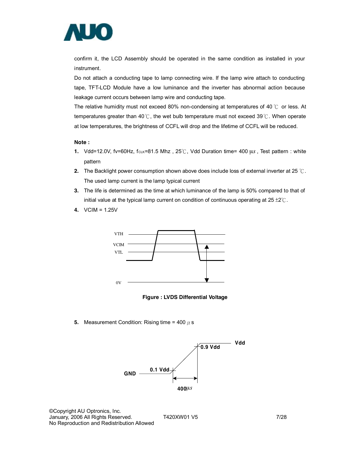

confirm it, the LCD Assembly should be operated in the same condition as installed in your instrument.

Do not attach a conducting tape to lamp connecting wire. If the lamp wire attach to conducting tape, TFT-LCD Module have a low luminance and the inverter has abnormal action because leakage current occurs between lamp wire and conducting tape.

The relative humidity must not exceed 80% non-condensing at temperatures of 40  $\degree$  or less. At temperatures greater than 40℃, the wet bulb temperature must not exceed 39℃. When operate at low temperatures, the brightness of CCFL will drop and the lifetime of CCFL will be reduced.

#### **Note :**

- **1.** Vdd=12.0V, fv=60Hz, fc<sub>LK</sub>=81.5 Mhz, 25℃, Vdd Duration time= 400 μ*s*, Test pattern : white pattern
- **2.** The Backlight power consumption shown above does include loss of external inverter at 25 ℃. The used lamp current is the lamp typical current
- **3.** The life is determined as the time at which luminance of the lamp is 50% compared to that of initial value at the typical lamp current on condition of continuous operating at  $25 \pm 2^{\circ}$ C.
- **4.** VCIM = 1.25V



**Figure : LVDS Differential Voltage** 

**5.** Measurement Condition: Rising time = 400  $\mu$  s

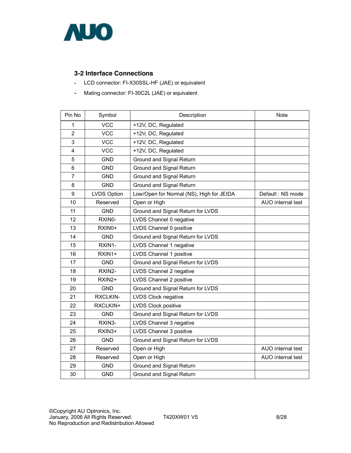

# **3-2 Interface Connections**

- **-** LCD connector: FI-X30SSL-HF (JAE) or equivalent
- **-** Mating connector: FI-30C2L (JAE) or equivalent

| Pin No         | Symbol             | Description                              | Note              |
|----------------|--------------------|------------------------------------------|-------------------|
| 1              | <b>VCC</b>         | +12V, DC, Regulated                      |                   |
| $\overline{c}$ | <b>VCC</b>         | +12V, DC, Regulated                      |                   |
| 3              | <b>VCC</b>         | +12V, DC, Regulated                      |                   |
| 4              | <b>VCC</b>         | +12V, DC, Regulated                      |                   |
| 5              | <b>GND</b>         | Ground and Signal Return                 |                   |
| 6              | <b>GND</b>         | Ground and Signal Return                 |                   |
| $\overline{7}$ | <b>GND</b>         | Ground and Signal Return                 |                   |
| 8              | <b>GND</b>         | Ground and Signal Return                 |                   |
| 9              | <b>LVDS Option</b> | Low/Open for Normal (NS), High for JEIDA | Default: NS mode  |
| 10             | Reserved           | Open or High                             | AUO internal test |
| 11             | <b>GND</b>         | Ground and Signal Return for LVDS        |                   |
| 12             | RXIN0-             | LVDS Channel 0 negative                  |                   |
| 13             | RXIN0+             | LVDS Channel 0 positive                  |                   |
| 14             | <b>GND</b>         | Ground and Signal Return for LVDS        |                   |
| 15             | RXIN1-             | LVDS Channel 1 negative                  |                   |
| 16             | RXIN1+             | LVDS Channel 1 positive                  |                   |
| 17             | <b>GND</b>         | Ground and Signal Return for LVDS        |                   |
| 18             | RXIN2-             | LVDS Channel 2 negative                  |                   |
| 19             | RXIN2+             | LVDS Channel 2 positive                  |                   |
| 20             | <b>GND</b>         | Ground and Signal Return for LVDS        |                   |
| 21             | RXCLKIN-           | LVDS Clock negative                      |                   |
| 22             | RXCLKIN+           | LVDS Clock positive                      |                   |
| 23             | <b>GND</b>         | Ground and Signal Return for LVDS        |                   |
| 24             | RXIN3-             | LVDS Channel 3 negative                  |                   |
| 25             | RXIN3+             | LVDS Channel 3 positive                  |                   |
| 26             | <b>GND</b>         | Ground and Signal Return for LVDS        |                   |
| 27             | Reserved           | Open or High                             | AUO internal test |
| 28             | Reserved           | Open or High                             | AUO internal test |
| 29             | <b>GND</b>         | Ground and Signal Return                 |                   |
| 30             | <b>GND</b>         | Ground and Signal Return                 |                   |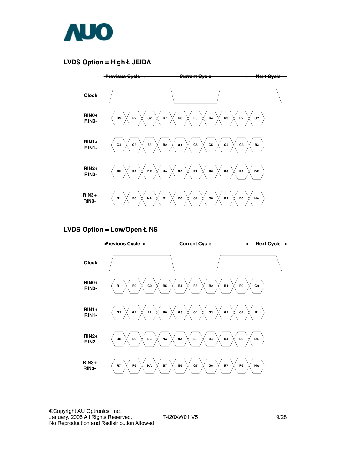

### **LVDS Option = High** ⇤ **JEIDA**



### **LVDS** Option = Low/Open Ł NS

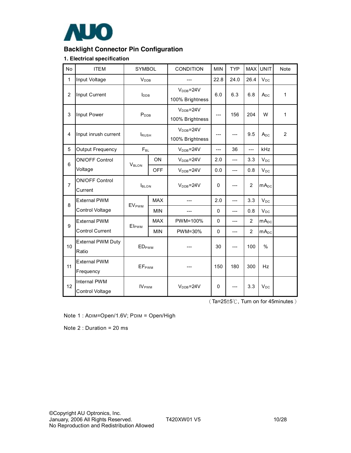

# **Backlight Connector Pin Configuration**

#### **1. Electrical specification**

| No             | <b>ITEM</b>                            | SYMBOL                   |            | <b>CONDITION</b>                          | <b>MIN</b>   | <b>TYP</b> | <b>MAX</b> | <b>UNIT</b>      | <b>Note</b>    |
|----------------|----------------------------------------|--------------------------|------------|-------------------------------------------|--------------|------------|------------|------------------|----------------|
| 1              | Input Voltage                          | <b>V<sub>DDB</sub></b>   |            |                                           | 22.8         | 24.0       | 26.4       | $V_{DC}$         |                |
| $\overline{2}$ | Input Current                          | <b>I</b> <sub>DDB</sub>  |            | $VDB=24V$<br>100% Brightness              | 6.0          | 6.3        | 6.8        | $A_{DC}$         | $\mathbf{1}$   |
| 3              | Input Power                            | P <sub>DB</sub>          |            | $VDB=24V$<br>100% Brightness              | $---$        | 156        | 204        | W                | $\mathbf{1}$   |
| $\overline{4}$ | Input inrush current                   | <b>IRUSH</b>             |            | $V_{\text{DDB}} = 24V$<br>100% Brightness | ---          |            | 9.5        | $A_{DC}$         | $\overline{2}$ |
| 5              | Output Frequency                       | $F_{BL}$                 |            | $VDB=24V$                                 | ---          | 36         | ---        | kHz              |                |
| 6              | <b>ON/OFF Control</b>                  | V <sub>BLON</sub>        | ON         | $VDB=24V$                                 | 2.0          | ---        | 3.3        | $V_{DC}$         |                |
|                | Voltage                                |                          | <b>OFF</b> | $VDB=24V$                                 | 0.0          | ---        | 0.8        | $V_{DC}$         |                |
| $\overline{7}$ | <b>ON/OFF Control</b><br>Current       | <b>I</b> BLON            |            | $V_{DDB} = 24V$                           | $\Omega$     |            | 2          | $mA_{DC}$        |                |
| 8              | <b>External PWM</b>                    | <b>EVPWM</b>             | <b>MAX</b> | ---                                       | 2.0          | ---        | 3.3        | $V_{DC}$         |                |
|                | Control Voltage                        |                          | <b>MIN</b> | ---                                       | $\Omega$     | $---$      | 0.8        | $V_{DC}$         |                |
| 9              | <b>External PWM</b>                    | <b>Elpwm</b>             | <b>MAX</b> | PWM=100%                                  | $\mathbf{0}$ | ---        | 2          | $mA_{DC}$        |                |
|                | <b>Control Current</b>                 |                          | <b>MIN</b> | PWM=30%                                   | $\Omega$     | ---        | 2          | mA <sub>DC</sub> |                |
| 10             | <b>External PWM Duty</b><br>Ratio      | <b>EDPWM</b>             |            |                                           | 30           |            | 100        | $\%$             |                |
| 11             | <b>External PWM</b><br>Frequency       | <b>EF</b> <sub>PWM</sub> |            |                                           | 150          | 180        | 300        | <b>Hz</b>        |                |
| 12             | <b>Internal PWM</b><br>Control Voltage | IV <sub>PWM</sub>        |            | $V_{DDB} = 24V$                           | $\mathbf{0}$ |            | 3.3        | $V_{DC}$         |                |

(Ta=25±5℃, Turn on for 45minutes)

Note 1 : ADIM=Open/1.6V; PDIM = Open/High

Note 2 : Duration = 20 ms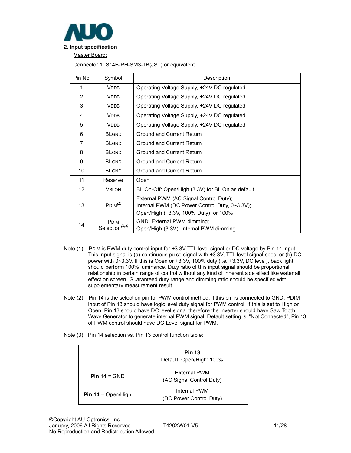

Master Board:

Connector 1: S14B-PH-SM3-TB(JST) or equivalent

| Pin No          | Symbol                                     | Description                                                                                                                      |
|-----------------|--------------------------------------------|----------------------------------------------------------------------------------------------------------------------------------|
| 1               | <b>V</b> <sub>DDB</sub>                    | Operating Voltage Supply, +24V DC regulated                                                                                      |
| $\overline{2}$  | <b>V</b> DDB                               | Operating Voltage Supply, +24V DC regulated                                                                                      |
| 3               | <b>VDDB</b>                                | Operating Voltage Supply, +24V DC regulated                                                                                      |
| 4               | <b>VDDB</b>                                | Operating Voltage Supply, +24V DC regulated                                                                                      |
| 5               | <b>VDDB</b>                                | Operating Voltage Supply, +24V DC regulated                                                                                      |
| 6               | <b>BLGND</b>                               | Ground and Current Return                                                                                                        |
| $\overline{7}$  | <b>BLGND</b>                               | Ground and Current Return                                                                                                        |
| 8               | <b>BLGND</b>                               | Ground and Current Return                                                                                                        |
| 9               | <b>BLGND</b>                               | Ground and Current Return                                                                                                        |
| 10              | <b>BLGND</b>                               | Ground and Current Return                                                                                                        |
| 11              | Reserve                                    | Open                                                                                                                             |
| 12 <sup>°</sup> | <b>VBLON</b>                               | BL On-Off: Open/High (3.3V) for BL On as default                                                                                 |
| 13              | $PDM^{(2)}$                                | External PWM (AC Signal Control Duty);<br>Internal PWM (DC Power Control Duty, 0~3.3V);<br>Open/High (+3.3V, 100% Duty) for 100% |
| 14              | <b>P</b> DIM<br>Selection <sup>(3,4)</sup> | GND: External PWM dimming;<br>Open/High (3.3V): Internal PWM dimming.                                                            |

- Note (1) PDIM is PWM duty control input for +3.3V TTL level signal or DC voltage by Pin 14 input. This input signal is (a) continuous pulse signal with +3.3V, TTL level signal spec, or (b) DC power with 0~3.3V. If this is Open or +3.3V, 100% duty (i.e. +3.3V, DC level), back light should perform 100% luminance. Duty ratio of this input signal should be proportional relationship in certain range of control without any kind of inherent side effect like waterfall effect on screen. Guaranteed duty range and dimming ratio should be specified with supplementary measurement result.
- Note (2) Pin 14 is the selection pin for PWM control method; if this pin is connected to GND, PDIM input of Pin 13 should have logic level duty signal for PWM control. If this is set to High or Open, Pin 13 should have DC level signal therefore the Inverter should have Saw Tooth Wave Generator to generate internal PWM signal. Default setting is "Not Connected", Pin 13 of PWM control should have DC Level signal for PWM.
- Note (3) Pin 14 selection vs. Pin 13 control function table:

|                           | <b>Pin 13</b><br>Default: Open/High: 100%       |
|---------------------------|-------------------------------------------------|
| Pin $14 =$ GND            | <b>External PWM</b><br>(AC Signal Control Duty) |
| <b>Pin 14 = Open/High</b> | Internal PWM<br>(DC Power Control Duty)         |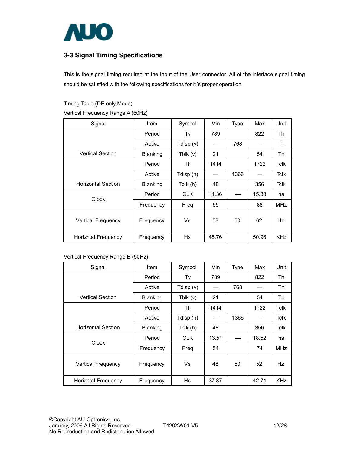

# **3-3 Signal Timing Specifications**

This is the signal timing required at the input of the User connector. All of the interface signal timing should be satisfied with the following specifications for it 's proper operation.

Timing Table (DE only Mode)

Vertical Frequency Range A (60Hz)

| Signal                    | Item      | Symbol     | Min   | <b>Type</b> | Max   | Unit        |
|---------------------------|-----------|------------|-------|-------------|-------|-------------|
|                           | Period    | Tv         | 789   |             | 822   | Th          |
|                           | Active    | Tdisp (v)  |       | 768         |       | Th          |
| <b>Vertical Section</b>   | Blanking  | Tblk $(v)$ | 21    |             | 54    | Th          |
|                           | Period    | Th         | 1414  |             | 1722  | <b>Tclk</b> |
|                           | Active    | Tdisp (h)  |       | 1366        |       | <b>Tclk</b> |
| <b>Horizontal Section</b> | Blanking  | Tblk (h)   | 48    |             | 356   | <b>Tclk</b> |
| Clock                     | Period    | <b>CLK</b> | 11.36 |             | 15.38 | ns          |
|                           | Frequency | Freq       | 65    |             | 88    | MHz         |
| <b>Vertical Frequency</b> | Frequency | Vs         | 58    | 60          | 62    | <b>Hz</b>   |
| Horizntal Frequency       | Frequency | Hs         | 45.76 |             | 50.96 | <b>KHz</b>  |

Vertical Frequency Range B (50Hz)

| Signal                    | Item            | Symbol     | Min   | <b>Type</b> | Max   | Unit        |
|---------------------------|-----------------|------------|-------|-------------|-------|-------------|
|                           | Period          | Tv         | 789   |             | 822   | Th          |
|                           | Active          | Tdisp (v)  |       | 768         |       | Th          |
| <b>Vertical Section</b>   | <b>Blanking</b> | Tblk $(v)$ | 21    |             | 54    | Th          |
|                           | Period          | Th         | 1414  |             | 1722  | <b>Tclk</b> |
|                           | Active          | Tdisp (h)  |       | 1366        |       | <b>Tclk</b> |
| <b>Horizontal Section</b> | <b>Blanking</b> | Tblk (h)   | 48    |             | 356   | Tclk        |
| Clock                     | Period          | <b>CLK</b> | 13.51 |             | 18.52 | ns          |
|                           | Frequency       | Freg       | 54    |             | 74    | <b>MHz</b>  |
| <b>Vertical Frequency</b> | Frequency       | Vs         | 48    | 50          | 52    | <b>Hz</b>   |
| Horizntal Frequency       | Frequency       | Hs         | 37.87 |             | 42.74 | <b>KHz</b>  |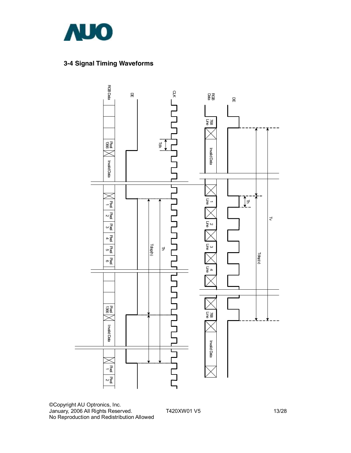

# **3-4 Signal Timing Waveforms**



©Copyright AU Optronics, Inc. January, 2006 All Rights Reserved. T420XW01 V5 13/28 No Reproduction and Redistribution Allowed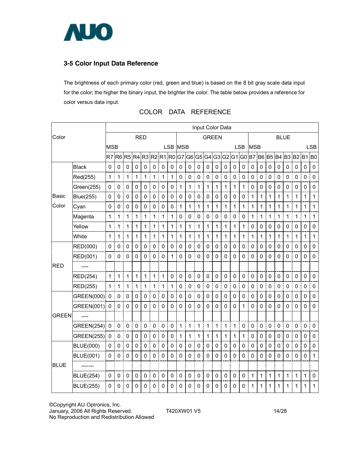

# **3-5 Color Input Data Reference**

The brightness of each primary color (red, green and blue) is based on the 8 bit gray scale data input for the color; the higher the binary input, the brighter the color. The table below provides a reference for color versus data input.

|              |                   |                | Input Color Data |                |                |                |                        |                       |             |              |                |             |                  |             |                |             |              |                |              |                     |             |                |             |             |              |
|--------------|-------------------|----------------|------------------|----------------|----------------|----------------|------------------------|-----------------------|-------------|--------------|----------------|-------------|------------------|-------------|----------------|-------------|--------------|----------------|--------------|---------------------|-------------|----------------|-------------|-------------|--------------|
| Color        |                   | <b>RED</b>     |                  |                |                | <b>GREEN</b>   |                        |                       |             | <b>BLUE</b>  |                |             |                  |             |                |             |              |                |              |                     |             |                |             |             |              |
|              |                   | <b>MSB</b>     |                  |                |                |                |                        |                       | <b>LSB</b>  | <b>MSB</b>   |                |             |                  |             |                |             | <b>LSB</b>   | <b>MSB</b>     |              |                     |             |                |             |             | <b>LSB</b>   |
|              |                   | R7             | R <sub>6</sub>   | R <sub>5</sub> | R <sub>4</sub> | R <sub>3</sub> |                        |                       | R2 R1 R0 G7 |              | G <sub>6</sub> |             | G5 G4            |             | G3 G2 G1 G0 B7 |             |              |                | <b>B6 B5</b> |                     | <b>B4</b>   | B <sub>3</sub> | <b>B2</b>   | $B1$ $B0$   |              |
|              | <b>Black</b>      | 0              | 0                | $\mathbf 0$    | 0              | 0              | $\Omega$               | $\mathbf 0$           | 0           | $\mathbf 0$  | 0              | $\mathbf 0$ | 0                | 0           | 0              | $\mathbf 0$ | 0            | 0              | $\mathbf{0}$ | 0                   | $\mathbf 0$ | 0              | 0           | 0           | $\mathbf 0$  |
|              | Red(255)          | $\mathbf{1}$   | 1                | 1              | 1              | 1              | į<br>$\mathbf{1}$<br>İ | $\mathbf 1$           | 1           | $\mathbf 0$  | $\mathbf 0$    | $\mathbf 0$ | $\mathbf 0$      | 0           | 0              | 0           | 0            | $\mathbf 0$    | $\pmb{0}$    | 0                   | 0           | $\mathbf 0$    | 0           | $\mathbf 0$ | $\mathbf 0$  |
|              | Green(255)        | $\mathbf 0$    | $\mathbf 0$      | 0              | $\pmb{0}$      | $\mathbf 0$    | $\mathbf 0$            | $\mathbf 0$           | 0           | 1            | 1              | 1           | 1                | 1           | 1              | 1           | 1            | $\mathbf 0$    | 0            | $\mathbf 0$         | 0           | $\mathbf 0$    | 0           | 0           | 0            |
| <b>Basic</b> | <b>Blue(255)</b>  | $\mathbf 0$    | 0                | $\mathbf 0$    | 0              | 0              | 0                      | $\mathbf 0$           | 0           | 0            | $\mathbf 0$    | 0           | 0                | 0           | 0              | $\mathbf 0$ | 0            | 1              | 1            | 1                   | 1           | 1              | 1           | 1           | 1            |
| Color        | Cyan              | 0              | 0                | $\mathbf 0$    | 0              | $\mathbf 0$    | 0                      | $\mathbf 0$           | 0           | $\mathbf{1}$ | 1              | 1           | 1                | 1           | 1              | 1           | 1            | 1              | $\mathbf{1}$ | 1                   | 1           | 1              | 1           | 1           | 1            |
|              | Magenta           | $\mathbf{1}$   | $\mathbf{1}$     | 1              | 1              | 1              | Ī<br>Î<br>1            | $\mathbf{1}$          | 1           | $\mathsf 0$  | $\mathbf 0$    | 0<br>Î      | $\pmb{0}$        | $\pmb{0}$   | $\mathbf 0$    | $\mathsf 0$ | $\mathbf 0$  | 1              | $\mathbf{1}$ | 1                   | 1           | 1              | 1           | 1           | $\mathbf{1}$ |
|              | Yellow            | $\overline{1}$ | 1                | 1              | 1              | 1              | 1                      | 1                     | 1           | 1            | 1              | 1           | 1                | 1           | 1              | 1           | 1            | $\mathbf 0$    | $\mathbf 0$  | $\mathsf 0$         | 0           | 0              | 0           | $\mathbf 0$ | 0            |
|              | White             | 1              | 1                | $\mathbf 1$    | 1              | 1              | $\mathbf 1$            | 1                     | 1           | 1            | 1              | 1           | 1                | 1           | 1              | 1           | 1            | 1              | $\mathbf{1}$ | $\mathbf{1}$        | 1           | 1              | 1           | 1           | 1            |
|              | RED(000)          | 0              | 0                | $\mathbf 0$    | 0              | 0              | $\mathbf 0$            | $\mathbf 0$           | 0           | $\mathbf 0$  | $\mathbf 0$    | $\mathbf 0$ | 0                | 0           | 0              | $\mathbf 0$ | $\mathbf 0$  | $\mathbf 0$    | 0            | $\mathbf 0$         | 0           | 0              | $\mathbf 0$ | 0           | $\mathbf 0$  |
|              | RED(001)          | 0              | 0                | $\mathbf 0$    | 0              | $\mathbf 0$    | $\mathbf 0$            | $\mathbf 0$           | 1           | $\mathbf 0$  | 0              | $\mathbf 0$ | 0                | 0           | 0              | 0           | $\mathbf 0$  | $\mathbf 0$    | $\mathbf 0$  | 0                   | 0           | 0              | 0           | 0           | $\mathbf 0$  |
| <b>RED</b>   |                   |                |                  |                |                |                |                        |                       |             |              |                |             |                  |             |                |             |              |                |              |                     |             |                |             |             |              |
|              | <b>RED(254)</b>   | $\mathbf{1}$   | 1                | 1              | 1              | 1              | 1                      | $\mathbf{1}$          | $\mathbf 0$ | $\mathbf 0$  | $\mathbf 0$    | $\mathbf 0$ | $\mathbf 0$      | $\mathbf 0$ | $\mathbf 0$    | $\mathbf 0$ | $\mathbf 0$  | $\mathbf 0$    | $\mathbf 0$  | $\mathbf 0$         | $\mathbf 0$ | $\overline{0}$ | $\mathbf 0$ | 0           | $\mathbf 0$  |
|              | <b>RED(255)</b>   | $\mathbf{1}$   | $\mathbf{1}$     | $\mathbf{1}$   | $\mathbf{1}$   | $\mathbf 1$    | 1<br>Ī                 | $\mathbf 1$           | 1           | $\pmb{0}$    | $\mathbf 0$    | $\mathsf 0$ | $\boldsymbol{0}$ | $\mathbf 0$ | $\mathbf 0$    | $\mathsf 0$ | $\mathbf 0$  | 0              | $\mathbf 0$  | $\mathbf 0$         | $\mathsf 0$ | $\pmb{0}$      | $\pmb{0}$   | $\pmb{0}$   | $\pmb{0}$    |
|              | GREEN(000)        | $\mathbf 0$    | 0                | $\mathbf 0$    | $\pmb{0}$      | 0              | 0                      | $\mathbf 0$           | 0           | 0            | $\mathbf 0$    | $\mathbf 0$ | 0                | $\pmb{0}$   | 0              | $\mathbf 0$ | $\mathbf 0$  | $\mathbf 0$    | 0            | $\mathsf{O}\xspace$ | 0           | 0              | 0           | $\mathbf 0$ | $\pmb{0}$    |
|              | GREEN(001)        | $\Omega$       | 0                | 0              | 0              | 0              | $\Omega$               | $\mathbf 0$           | 0           | $\mathbf{0}$ | $\Omega$       | $\Omega$    | 0                | 0           | 0              | 0           | 1            | $\mathbf 0$    | $\Omega$     | 0                   | 0           | $\Omega$       | $\Omega$    | 0           | $\Omega$     |
| GREEN        |                   |                |                  |                |                |                |                        |                       |             |              |                |             |                  |             |                |             |              |                |              |                     |             |                |             |             |              |
|              | <b>GREEN(254)</b> | $\pmb{0}$      | $\mathbf 0$      | 0              | 0              | 0              | $\mathbf 0$            | Î<br>$\boldsymbol{0}$ | $\mathbf 0$ | 1            | 1              | 1<br>Ī      | $\mathbf{1}$     | 1           | $\mathbf 1$    | 1<br>Ī      | 0            | 0              | $\mathbf 0$  | 0                   | $\mathbf 0$ | $\pmb{0}$<br>İ | $\pmb{0}$   | $\mathbf 0$ | $\mathbf 0$  |
|              | <b>GREEN(255)</b> | $\mathbf 0$    | $\mathbf 0$      | $\mathbf 0$    | 0              | 0              | $\mathbf 0$            | $\mathbf 0$           | 0           | $\mathbf{1}$ | 1              | 1           | 1                | 1           | 1              | 1           | 1            | $\mathbf 0$    | $\mathbf{0}$ | $\mathbf 0$         | 0           | $\pmb{0}$      | 0           | 0           | 0            |
|              | <b>BLUE(000)</b>  | 0              | 0                | $\mathbf 0$    | 0              | 0              | 0                      | $\mathbf 0$           | 0           | 0            | $\mathbf 0$    | 0           | 0                | 0           | 0              | $\mathbf 0$ | 0            | $\mathbf 0$    | 0            | 0                   | 0           | 0              | 0           | 0           | $\mathbf 0$  |
|              | <b>BLUE(001)</b>  | $\mathbf 0$    | 0                | $\mathbf 0$    | 0              | $\mathbf 0$    | $\mathbf 0$            | $\mathbf 0$           | 0           | $\mathbf 0$  | $\mathbf 0$    | $\mathbf 0$ | 0                | 0           | $\mathbf 0$    | $\mathbf 0$ | $\mathbf 0$  | $\overline{0}$ | $\Omega$     | $\overline{0}$      | 0           | 0              | $\mathbf 0$ | $\mathbf 0$ | $\mathbf 1$  |
| <b>BLUE</b>  | -------           |                |                  |                |                |                |                        |                       |             |              |                |             |                  |             |                |             |              |                |              |                     |             |                |             |             |              |
|              | <b>BLUE(254)</b>  | $\mathbf{0}$   | $\mathbf{0}$     | $\mathbf{0}$   | 0              | 0              | $\mathbf 0$            | $\mathbf{0}$          | $\mathbf 0$ | $\mathbf{0}$ | $\Omega$       | $\mathbf 0$ | $\mathbf 0$      | $\mathbf 0$ | $\Omega$       | $\mathbf 0$ | $\mathbf{0}$ | 1              | 1            | $\mathbf 1$         | 1           | 1              | 1           | 1           | $\Omega$     |
|              | <b>BLUE(255)</b>  | 0              | 0                | 0              | 0              | 0              | 0                      | $\mathbf 0$           | 0           | $\mathbf 0$  | 0              | $\mathbf 0$ | 0                | 0           | $\mathbf 0$    | 0           | 0            | 1              | 1            | 1                   | 1           | 1              | 1           | 1           | 1            |

# COLOR DATA REFERENCE

©Copyright AU Optronics, Inc. January, 2006 All Rights Reserved. T420XW01 V5 14/28 No Reproduction and Redistribution Allowed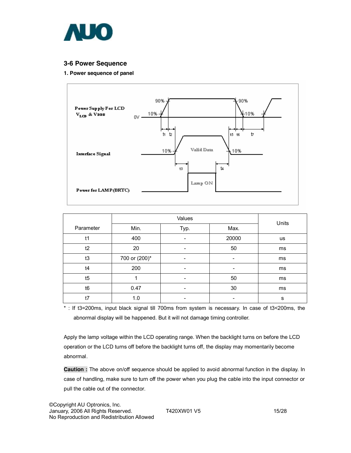

### **3-6 Power Sequence**

#### **1. Power sequence of panel**



|           |               | Units                    |       |    |
|-----------|---------------|--------------------------|-------|----|
| Parameter | Min.          | Typ.                     | Max.  |    |
| t1        | 400           | ٠                        | 20000 | us |
| t2        | 20            | ٠                        | 50    | ms |
| t3        | 700 or (200)* | -                        | -     | ms |
| t4        | 200           | ٠                        |       | ms |
| t5        |               | $\overline{\phantom{a}}$ | 50    | ms |
| t6        | 0.47          | -                        | 30    | ms |
| t7        | 1.0           | $\overline{\phantom{a}}$ | -     | s  |

\* : If t3=200ms, input black signal till 700ms from system is necessary. In case of t3<200ms, the abnormal display will be happened. But it will not damage timing controller.

Apply the lamp voltage within the LCD operating range. When the backlight turns on before the LCD operation or the LCD turns off before the backlight turns off, the display may momentarily become abnormal.

**Caution :** The above on/off sequence should be applied to avoid abnormal function in the display. In case of handling, make sure to turn off the power when you plug the cable into the input connector or pull the cable out of the connector.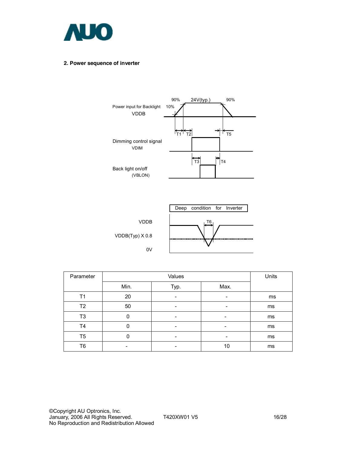

#### **2. Power sequence of inverter**





| Parameter      |      | Units |      |    |
|----------------|------|-------|------|----|
|                | Min. | Typ.  | Max. |    |
| T1             | 20   |       | -    | ms |
| T2             | 50   | ٠     | -    | ms |
| T <sub>3</sub> | U    |       | -    | ms |
| T4             |      | -     | ۰    | ms |
| T5             | 0    |       | -    | ms |
| T6             |      |       | 10   | ms |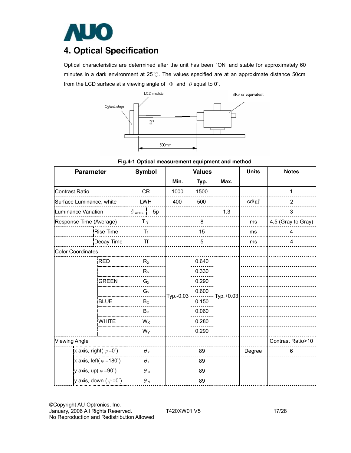

# **4. Optical Specification**

Optical characteristics are determined after the unit has been 'ON' and stable for approximately 60 minutes in a dark environment at 25℃. The values specified are at an approximate distance 50cm from the LCD surface at a viewing angle of  $\Phi$  and  $\theta$  equal to 0°.



#### **Fig.4-1 Optical measurement equipment and method**

| <b>Parameter</b>                       | <b>Symbol</b>               |                         |                                  | <b>Values</b> |       | <b>Units</b>    | <b>Notes</b>      |                    |  |
|----------------------------------------|-----------------------------|-------------------------|----------------------------------|---------------|-------|-----------------|-------------------|--------------------|--|
|                                        |                             |                         | Min.                             | Typ.          | Max.  |                 |                   |                    |  |
| <b>Contrast Ratio</b>                  | <b>CR</b>                   |                         | 1000                             | 1500          |       |                 | 1                 |                    |  |
| Surface Luminance, white               | <b>LWH</b>                  |                         | 400                              | 500           |       | $\text{cd/m}^2$ | $\overline{2}$    |                    |  |
| Luminance Variation                    |                             | 5p<br>$\delta$ white    |                                  |               |       | 1.3             |                   | 3                  |  |
| Response Time (Average)                |                             | T $\gamma$              |                                  |               | 8     |                 | ms                | 4,5 (Gray to Gray) |  |
|                                        | Rise Time                   | Tr                      |                                  |               | 15    |                 | ms                | 4                  |  |
|                                        | Decay Time                  | <b>Tf</b>               |                                  |               | 5     |                 | ms                | 4                  |  |
| <b>Color Coordinates</b>               |                             |                         |                                  |               |       |                 |                   |                    |  |
|                                        | <b>RED</b>                  | $R_X$                   |                                  |               | 0.640 |                 |                   |                    |  |
|                                        | <b>GREEN</b><br><b>BLUE</b> |                         | $R_Y$<br>$G_X$<br>$G_Y$<br>$B_X$ |               | 0.330 | $Typ.+0.03$     |                   |                    |  |
|                                        |                             |                         |                                  |               | 0.290 |                 |                   |                    |  |
|                                        |                             |                         |                                  |               | 0.600 |                 |                   |                    |  |
|                                        |                             |                         |                                  |               | 0.150 |                 |                   |                    |  |
| <b>WHITE</b>                           |                             | $B_Y$<br>$W_X$<br>$W_Y$ |                                  |               | 0.060 |                 |                   |                    |  |
|                                        |                             |                         |                                  |               | 0.280 |                 |                   |                    |  |
|                                        |                             |                         |                                  |               | 0.290 |                 |                   |                    |  |
| <b>Viewing Angle</b>                   |                             |                         |                                  |               |       |                 | Contrast Ratio>10 |                    |  |
| x axis, right( $\varphi = 0^{\circ}$ ) | $\theta$ r                  |                         |                                  | 89            |       | Degree          | 6                 |                    |  |
| x axis, left( $\varphi$ =180°)         | $\theta_1$                  |                         |                                  | 89            |       |                 |                   |                    |  |
| y axis, up( $\varphi$ =90°)            | $\theta$ u                  |                         |                                  | 89            |       |                 |                   |                    |  |
| y axis, down ( $\varphi = 0^{\circ}$ ) | $\theta$ <sub>d</sub>       |                         |                                  | 89            |       |                 |                   |                    |  |

©Copyright AU Optronics, Inc. January, 2006 All Rights Reserved. T420XW01 V5 17/28 No Reproduction and Redistribution Allowed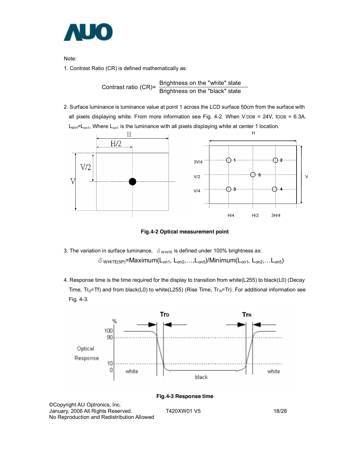

Note:

1. Contrast Ratio (CR) is defined mathematically as:

Contrast ratio (CR)= Brightness on the "white" state<br>Brightness on the "black" state

2. Surface luminance is luminance value at point 1 across the LCD surface 50cm from the surface with all pixels displaying white. From more information see Fig. 4-2. When  $V$  DDB = 24V, IDDB = 6.3A.  $L_{WH}$ = $L_{on1}$ , Where  $L_{on1}$  is the luminance with all pixels displaying white at center 1 location.



**Fig.4-2 Optical measurement point** 

- 3. The variation in surface luminance,  $\delta$  w<sub>HITE</sub> is defined under 100% brightness as:  $\delta$  white(5P)=Maximum(L<sub>on1</sub>, L<sub>on2</sub>,...,L<sub>on5</sub>)/Minimum(L<sub>on1</sub>, L<sub>on2</sub>,...L<sub>on5</sub>)
- 4. Response time is the time required for the display to transition from white(L255) to black(L0) (Decay Time,  $Tr_D=Tr$ ) and from black(L0) to white(L255) (Rise Time,  $Tr_R=Tr$ ). For additional information see Fig. 4-3.

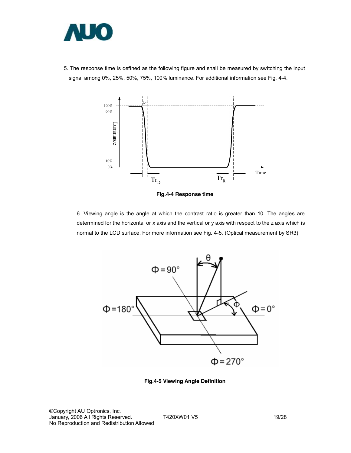

5. The response time is defined as the following figure and shall be measured by switching the input signal among 0%, 25%, 50%, 75%, 100% luminance. For additional information see Fig. 4-4.



**Fig.4-4 Response time** 

6. Viewing angle is the angle at which the contrast ratio is greater than 10. The angles are determined for the horizontal or x axis and the vertical or y axis with respect to the z axis which is normal to the LCD surface. For more information see Fig. 4-5. (Optical measurement by SR3)



**Fig.4-5 Viewing Angle Definition**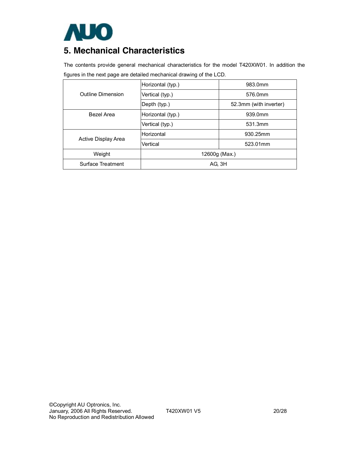

# **5. Mechanical Characteristics**

The contents provide general mechanical characteristics for the model T420XW01. In addition the figures in the next page are detailed mechanical drawing of the LCD.

|                     | Horizontal (typ.) | 983.0mm                |  |  |  |
|---------------------|-------------------|------------------------|--|--|--|
| Outline Dimension   | Vertical (typ.)   | 576.0mm                |  |  |  |
|                     | Depth (typ.)      | 52.3mm (with inverter) |  |  |  |
| Bezel Area          | Horizontal (typ.) | 939.0mm                |  |  |  |
|                     | Vertical (typ.)   | 531.3mm                |  |  |  |
|                     | Horizontal        | 930.25mm               |  |  |  |
| Active Display Area | Vertical          | 523.01mm               |  |  |  |
| Weight              | 12600g (Max.)     |                        |  |  |  |
| Surface Treatment   | AG, 3H            |                        |  |  |  |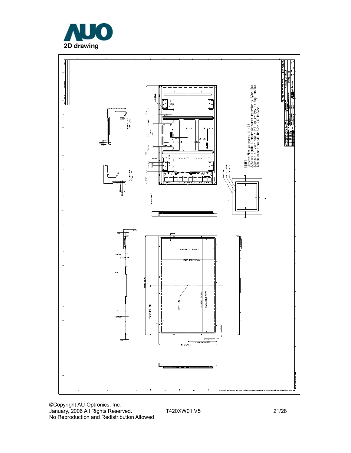



©Copyright AU Optronics, Inc. January, 2006 All Rights Reserved. T420XW01 V5 21/28 No Reproduction and Redistribution Allowed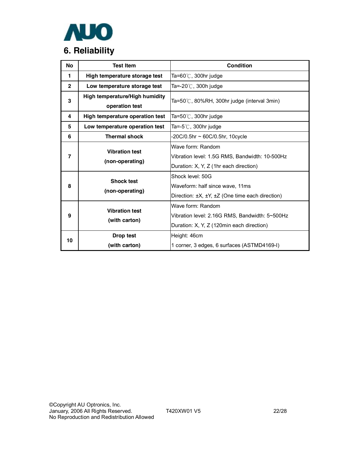

| No           | <b>Test Item</b>                | Condition                                       |  |  |  |  |  |
|--------------|---------------------------------|-------------------------------------------------|--|--|--|--|--|
| 1            | High temperature storage test   | Ta=60℃, 300hr judge                             |  |  |  |  |  |
| $\mathbf{2}$ | Low temperature storage test    | Ta=-20 $\degree$ C, 300h judge                  |  |  |  |  |  |
| 3            | High temperature/High humidity  | Ta=50℃, 80%RH, 300hr judge (interval 3min)      |  |  |  |  |  |
|              | operation test                  |                                                 |  |  |  |  |  |
| 4            | High temperature operation test | Ta=50℃, 300hr judge                             |  |  |  |  |  |
| 5            | Low temperature operation test  | Ta=- $5^\circ\text{C}$ , 300hr judge            |  |  |  |  |  |
| 6            | <b>Thermal shock</b>            | -20C/0.5hr ~ 60C/0.5hr, 10cycle                 |  |  |  |  |  |
| 7            | <b>Vibration test</b>           | Wave form: Random                               |  |  |  |  |  |
|              | (non-operating)                 | Vibration level: 1.5G RMS, Bandwidth: 10-500Hz  |  |  |  |  |  |
|              |                                 | Duration: X, Y, Z (1hr each direction)          |  |  |  |  |  |
| 8            | <b>Shock test</b>               | Shock level: 50G                                |  |  |  |  |  |
|              | (non-operating)                 | Waveform: half since wave, 11ms                 |  |  |  |  |  |
|              |                                 | Direction: ±X, ±Y, ±Z (One time each direction) |  |  |  |  |  |
|              | <b>Vibration test</b>           | Wave form: Random                               |  |  |  |  |  |
| 9            | (with carton)                   | Vibration level: 2.16G RMS, Bandwidth: 5~500Hz  |  |  |  |  |  |
|              |                                 | Duration: X, Y, Z (120min each direction)       |  |  |  |  |  |
| 10           | Drop test                       | Height: 46cm                                    |  |  |  |  |  |
|              | (with carton)                   | 1 corner, 3 edges, 6 surfaces (ASTMD4169-I)     |  |  |  |  |  |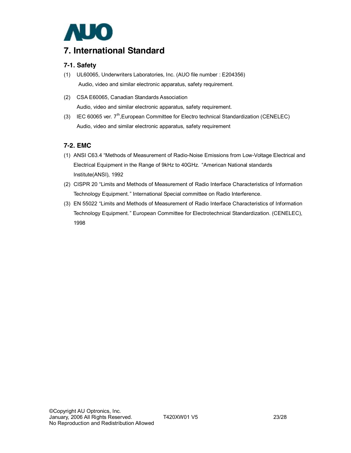

# **7. International Standard**

### **7-1. Safety**

- (1) UL60065, Underwriters Laboratories, Inc. (AUO file number : E204356) Audio, video and similar electronic apparatus, safety requirement.
- (2) CSA E60065, Canadian Standards Association Audio, video and similar electronic apparatus, safety requirement.
- (3) IEC 60065 ver.  $7<sup>th</sup>$ , European Committee for Electro technical Standardization (CENELEC) Audio, video and similar electronic apparatus, safety requirement

### **7-2. EMC**

- (1) ANSI C63.4 "Methods of Measurement of Radio-Noise Emissions from Low-Voltage Electrical and Electrical Equipment in the Range of 9kHz to 40GHz. "American National standards Institute(ANSI), 1992
- (2) CISPR 20 "Limits and Methods of Measurement of Radio Interface Characteristics of Information Technology Equipment." International Special committee on Radio Interference.
- (3) EN 55022 "Limits and Methods of Measurement of Radio Interface Characteristics of Information Technology Equipment." European Committee for Electrotechnical Standardization. (CENELEC), 1998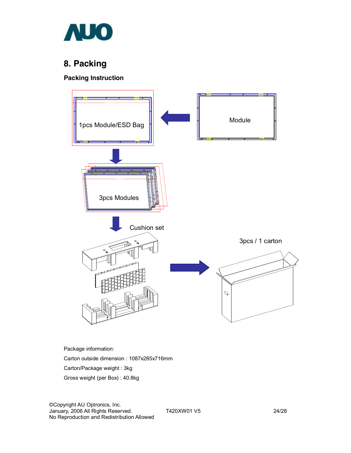

# **8. Packing**

# **Packing Instruction**



Package information:

Carton outside dimension : 1087x285x716mm

Carton/Package weight : 3kg

Gross weight (per Box) : 40.8kg

©Copyright AU Optronics, Inc. January, 2006 All Rights Reserved. T420XW01 V5 24/28 No Reproduction and Redistribution Allowed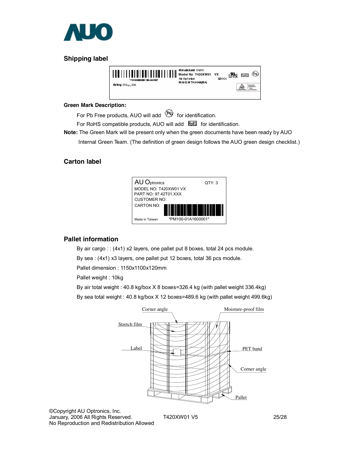

# **Shipping label**



#### **Green Mark Description:**

For Pb Free products, AUO will add  $\circledast$  for identification.

For RoHS compatible products, AUO will add **ELL** for identification.

**Note:** The Green Mark will be present only when the green documents have been ready by AUO

Internal Green Team. (The definition of green design follows the AUO green design checklist.)

### **Carton label**



### **Pallet information**

By air cargo : : (4x1) x2 layers, one pallet put 8 boxes, total 24 pcs module.

By sea : (4x1) x3 layers, one pallet put 12 boxes, total 36 pcs module.

Pallet dimension : 1150x1100x120mm

Pallet weight : 10kg

By air total weight : 40.8 kg/box X 8 boxes=326.4 kg (with pallet weight 336.4kg)

By sea total weight : 40.8 kg/box X 12 boxes=489.6 kg (with pallet weight 499.6kg)



©Copyright AU Optronics, Inc. No Reproduction and Redistribution Allowed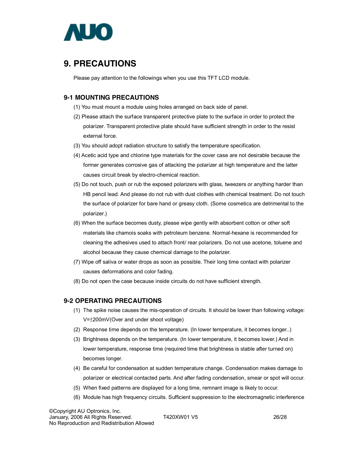

# **9. PRECAUTIONS**

Please pay attention to the followings when you use this TFT LCD module.

### **9-1 MOUNTING PRECAUTIONS**

- (1) You must mount a module using holes arranged on back side of panel.
- (2) Please attach the surface transparent protective plate to the surface in order to protect the polarizer. Transparent protective plate should have sufficient strength in order to the resist external force.
- (3) You should adopt radiation structure to satisfy the temperature specification.
- (4) Acetic acid type and chlorine type materials for the cover case are not desirable because the former generates corrosive gas of attacking the polarizer at high temperature and the latter causes circuit break by electro-chemical reaction.
- (5) Do not touch, push or rub the exposed polarizers with glass, tweezers or anything harder than HB pencil lead. And please do not rub with dust clothes with chemical treatment. Do not touch the surface of polarizer for bare hand or greasy cloth. (Some cosmetics are detrimental to the polarizer.)
- (6) When the surface becomes dusty, please wipe gently with absorbent cotton or other soft materials like chamois soaks with petroleum benzene. Normal-hexane is recommended for cleaning the adhesives used to attach front/ rear polarizers. Do not use acetone, toluene and alcohol because they cause chemical damage to the polarizer.
- (7) Wipe off saliva or water drops as soon as possible. Their long time contact with polarizer causes deformations and color fading.
- (8) Do not open the case because inside circuits do not have sufficient strength.

### **9-2 OPERATING PRECAUTIONS**

- (1) The spike noise causes the mis-operation of circuits. It should be lower than following voltage: V=±200mV(Over and under shoot voltage)
- (2) Response time depends on the temperature. (In lower temperature, it becomes longer..)
- (3) Brightness depends on the temperature. (In lower temperature, it becomes lower.) And in lower temperature, response time (required time that brightness is stable after turned on) becomes longer.
- (4) Be careful for condensation at sudden temperature change. Condensation makes damage to polarizer or electrical contacted parts. And after fading condensation, smear or spot will occur.
- (5) When fixed patterns are displayed for a long time, remnant image is likely to occur.
- (6) Module has high frequency circuits. Sufficient suppression to the electromagnetic interference